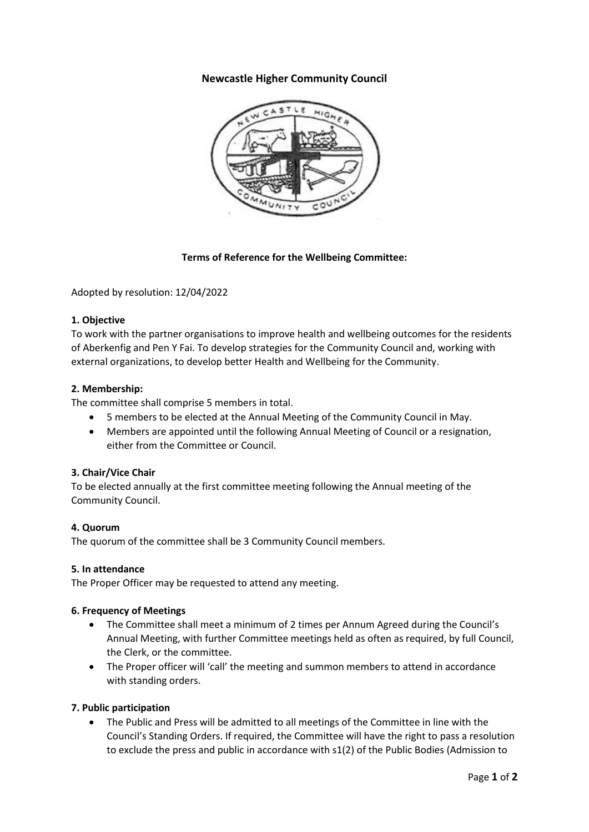# **Newcastle Higher Community Council**



## **Terms of Reference for the Wellbeing Committee:**

Adopted by resolution: 12/04/2022

#### **1. Objective**

To work with the partner organisations to improve health and wellbeing outcomes for the residents of Aberkenfig and Pen Y Fai. To develop strategies for the Community Council and, working with external organizations, to develop better Health and Wellbeing for the Community.

#### **2. Membership:**

The committee shall comprise 5 members in total.

- 5 members to be elected at the Annual Meeting of the Community Council in May.
- Members are appointed until the following Annual Meeting of Council or a resignation, either from the Committee or Council.

#### **3. Chair/Vice Chair**

To be elected annually at the first committee meeting following the Annual meeting of the Community Council.

#### **4. Quorum**

The quorum of the committee shall be 3 Community Council members.

#### **5. In attendance**

The Proper Officer may be requested to attend any meeting.

#### **6. Frequency of Meetings**

- The Committee shall meet a minimum of 2 times per Annum Agreed during the Council's Annual Meeting, with further Committee meetings held as often as required, by full Council, the Clerk, or the committee.
- The Proper officer will 'call' the meeting and summon members to attend in accordance with standing orders.

#### **7. Public participation**

• The Public and Press will be admitted to all meetings of the Committee in line with the Council's Standing Orders. If required, the Committee will have the right to pass a resolution to exclude the press and public in accordance with s1(2) of the Public Bodies (Admission to